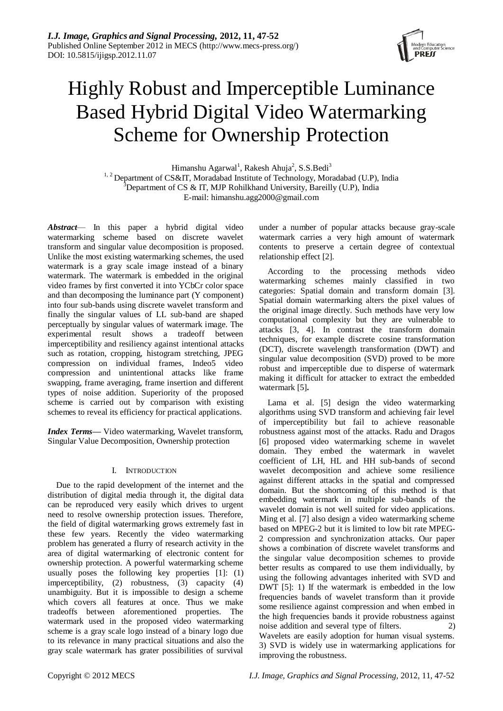

# Highly Robust and Imperceptible Luminance Based Hybrid Digital Video Watermarking Scheme for Ownership Protection

Himanshu Agarwal<sup>1</sup>, Rakesh Ahuja<sup>2</sup>, S.S.Bedi<sup>3</sup> <sup>1, 2</sup> Department of CS&IT, Moradabad Institute of Technology, Moradabad (U.P), India <sup>3</sup>Department of CS & IT, MJP Rohilkhand University, Bareilly (U.P), India E-mail: himanshu.agg2000@gmail.com

*Abstract*— In this paper a hybrid digital video watermarking scheme based on discrete wavelet transform and singular value decomposition is proposed. Unlike the most existing watermarking schemes, the used watermark is a gray scale image instead of a binary watermark. The watermark is embedded in the original video frames by first converted it into YCbCr color space and than decomposing the luminance part (Y component) into four sub-bands using discrete wavelet transform and finally the singular values of LL sub-band are shaped perceptually by singular values of watermark image. The experimental result shows a tradeoff between imperceptibility and resiliency against intentional attacks such as rotation, cropping, histogram stretching, JPEG compression on individual frames, Indeo5 video compression and unintentional attacks like frame swapping, frame averaging, frame insertion and different types of noise addition. Superiority of the proposed scheme is carried out by comparison with existing schemes to reveal its efficiency for practical applications.

*Index Terms—* Video watermarking, Wavelet transform, Singular Value Decomposition, Ownership protection

# I. INTRODUCTION

Due to the rapid development of the internet and the distribution of digital media through it, the digital data can be reproduced very easily which drives to urgent need to resolve ownership protection issues. Therefore, the field of digital watermarking grows extremely fast in these few years. Recently the video watermarking problem has generated a flurry of research activity in the area of digital watermarking of electronic content for ownership protection. A powerful watermarking scheme usually poses the following key properties [1]: (1) imperceptibility, (2) robustness, (3) capacity (4) unambiguity. But it is impossible to design a scheme which covers all features at once. Thus we make tradeoffs between aforementioned properties. The watermark used in the proposed video watermarking scheme is a gray scale logo instead of a binary logo due to its relevance in many practical situations and also the gray scale watermark has grater possibilities of survival

under a number of popular attacks because gray-scale watermark carries a very high amount of watermark contents to preserve a certain degree of contextual relationship effect [2].

According to the processing methods video watermarking schemes mainly classified in two categories: Spatial domain and transform domain [3]. Spatial domain watermarking alters the pixel values of the original image directly. Such methods have very low computational complexity but they are vulnerable to attacks [3, 4]. In contrast the transform domain techniques, for example discrete cosine transformation (DCT), discrete wavelength transformation (DWT) and singular value decomposition (SVD) proved to be more robust and imperceptible due to disperse of watermark making it difficult for attacker to extract the embedded watermark [5]**.** 

Lama et al. [5] design the video watermarking algorithms using SVD transform and achieving fair level of imperceptibility but fail to achieve reasonable robustness against most of the attacks. Radu and Dragos [6] proposed video watermarking scheme in wavelet domain. They embed the watermark in wavelet coefficient of LH, HL and HH sub-bands of second wavelet decomposition and achieve some resilience against different attacks in the spatial and compressed domain. But the shortcoming of this method is that embedding watermark in multiple sub-bands of the wavelet domain is not well suited for video applications. Ming et al. [7] also design a video watermarking scheme based on MPEG-2 but it is limited to low bit rate MPEG-2 compression and synchronization attacks. Our paper shows a combination of discrete wavelet transforms and the singular value decomposition schemes to provide better results as compared to use them individually, by using the following advantages inherited with SVD and DWT [5]: 1) If the watermark is embedded in the low frequencies bands of wavelet transform than it provide some resilience against compression and when embed in the high frequencies bands it provide robustness against noise addition and several type of filters. 2) Wavelets are easily adoption for human visual systems. 3) SVD is widely use in watermarking applications for improving the robustness.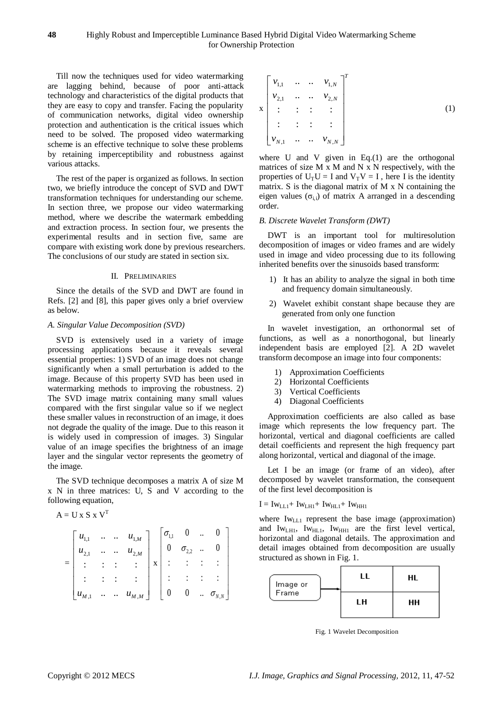### **48** Highly Robust and Imperceptible Luminance Based Hybrid Digital Video Watermarking Scheme for Ownership Protection

Till now the techniques used for video watermarking are lagging behind, because of poor anti-attack technology and characteristics of the digital products that they are easy to copy and transfer. Facing the popularity of communication networks, digital video ownership protection and authentication is the critical issues which need to be solved. The proposed video watermarking scheme is an effective technique to solve these problems by retaining imperceptibility and robustness against various attacks.

The rest of the paper is organized as follows. In section two, we briefly introduce the concept of SVD and DWT transformation techniques for understanding our scheme. In section three, we propose our video watermarking method, where we describe the watermark embedding and extraction process. In section four, we presents the experimental results and in section five, same are compare with existing work done by previous researchers. The conclusions of our study are stated in section six.

## II. PRELIMINARIES

Since the details of the SVD and DWT are found in Refs. [2] and [8], this paper gives only a brief overview as below.

#### *A. Singular Value Decomposition (SVD)*

SVD is extensively used in a variety of image processing applications because it reveals several essential properties: 1) SVD of an image does not change significantly when a small perturbation is added to the image. Because of this property SVD has been used in watermarking methods to improving the robustness. 2) The SVD image matrix containing many small values compared with the first singular value so if we neglect these smaller values in reconstruction of an image, it does not degrade the quality of the image. Due to this reason it is widely used in compression of images. 3) Singular value of an image specifies the brightness of an image layer and the singular vector represents the geometry of the image.

The SVD technique decomposes a matrix A of size M x N in three matrices: U, S and V according to the following equation,

 $\overline{0}$ 

A = U x S x V<sup>T</sup>  
\n
$$
= \begin{bmatrix} u_{1,1} & \cdots & u_{1,M} \\ u_{2,1} & \cdots & u_{2,M} \\ \vdots & \vdots & \vdots \\ u_{M,1} & \cdots & u_{M,M} \end{bmatrix} x \begin{bmatrix} \sigma_{1,1} & 0 & \cdots & 0 \\ 0 & \sigma_{2,2} & \cdots & 0 \\ \vdots & \vdots & \vdots & \vdots \\ 0 & 0 & \cdots & \sigma_{N,N} \end{bmatrix}
$$

$$
\mathbf{x} \begin{bmatrix} v_{1,1} & \cdots & \cdots & v_{1,N} \\ v_{2,1} & \cdots & \cdots & v_{2,N} \\ \vdots & \vdots & \vdots & \vdots \\ v_{N,1} & \cdots & \cdots & v_{N,N} \end{bmatrix}^{T}
$$
 (1)

where U and V given in Eq.(1) are the orthogonal matrices of size M x M and N x N respectively, with the properties of  $U_T U = I$  and  $V_T V = I$ , here I is the identity matrix. S is the diagonal matrix of M x N containing the eigen values ( $\sigma_{i,i}$ ) of matrix A arranged in a descending order.

#### *B. Discrete Wavelet Transform (DWT)*

DWT is an important tool for multiresolution decomposition of images or video frames and are widely used in image and video processing due to its following inherited benefits over the sinusoids based transform:

- 1) It has an ability to analyze the signal in both time and frequency domain simultaneously.
- 2) Wavelet exhibit constant shape because they are generated from only one function

In wavelet investigation, an orthonormal set of functions, as well as a nonorthogonal, but linearly independent basis are employed [2]. A 2D wavelet transform decompose an image into four components:

- 1) Approximation Coefficients
- 2) Horizontal Coefficients
- 3) Vertical Coefficients
- 4) Diagonal Coefficients

Approximation coefficients are also called as base image which represents the low frequency part. The horizontal, vertical and diagonal coefficients are called detail coefficients and represent the high frequency part along horizontal, vertical and diagonal of the image.

Let I be an image (or frame of an video), after decomposed by wavelet transformation, the consequent of the first level decomposition is

# $I = Iw<sub>LL1</sub>+ Iw<sub>LH1</sub>+ Iw<sub>HL1</sub>+ Iw<sub>HH1</sub>$

where Iw<sub>LL1</sub> represent the base image (approximation) and  $Iw<sub>LHI</sub>$ ,  $Iw<sub>HLI</sub>$ ,  $Iw<sub>HHI</sub>$  are the first level vertical, horizontal and diagonal details. The approximation and detail images obtained from decomposition are usually structured as shown in Fig. 1.



Fig. 1 Wavelet Decomposition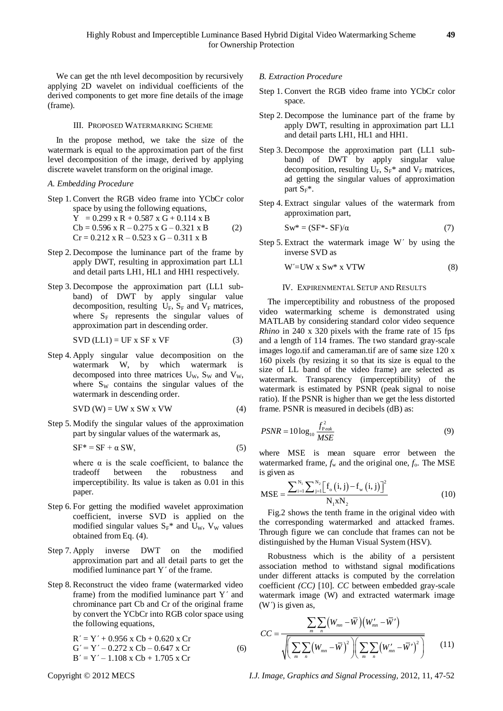We can get the nth level decomposition by recursively applying 2D wavelet on individual coefficients of the derived components to get more fine details of the image (frame).

#### III. PROPOSED WATERMARKING SCHEME

In the propose method, we take the size of the watermark is equal to the approximation part of the first level decomposition of the image, derived by applying discrete wavelet transform on the original image.

#### *A. Embedding Procedure*

Step 1. Convert the RGB video frame into YCbCr color space by using the following equations,  $Y = 0.299$  x R + 0.587 x G + 0.114 x B  $Cb = 0.596 \times R - 0.275 \times G - 0.321 \times B$  (2)

$$
Cr = 0.212 \times R - 0.523 \times G - 0.311 \times B
$$
  
(2)

- Step 2. Decompose the luminance part of the frame by apply DWT, resulting in approximation part LL1 and detail parts LH1, HL1 and HH1 respectively.
- Step 3. Decompose the approximation part (LL1 subband) of DWT by apply singular value decomposition, resulting  $U_F$ ,  $S_F$  and  $V_F$  matrices, where  $S_F$  represents the singular values of approximation part in descending order.

$$
SVD (LL1) = UF x SF x VF
$$
 (3)

Step 4. Apply singular value decomposition on the watermark W, by which watermark is decomposed into three matrices  $U_w$ ,  $S_w$  and  $V_w$ , where  $S_W$  contains the singular values of the watermark in descending order.

$$
SVD (W) = UW x SW x VW
$$
 (4)

Step 5. Modify the singular values of the approximation part by singular values of the watermark as,

$$
SF^* = SF + \alpha SW,
$$
 (5)

where  $\alpha$  is the scale coefficient, to balance the tradeoff between the robustness and imperceptibility. Its value is taken as 0.01 in this paper.

- Step 6. For getting the modified wavelet approximation coefficient, inverse SVD is applied on the modified singular values  $S_F^*$  and U<sub>W</sub>, V<sub>W</sub> values obtained from Eq. (4).
- Step 7. Apply inverse DWT on the modified approximation part and all detail parts to get the modified luminance part Y΄ of the frame.
- Step 8. Reconstruct the video frame (watermarked video frame) from the modified luminance part Y΄ and chrominance part Cb and Cr of the original frame by convert the YCbCr into RGB color space using the following equations,

 $R' = Y' + 0.956$  x Cb + 0.620 x Cr  $G' = Y' - 0.272$  x Cb – 0.647 x Cr (6)  $B' = Y' - 1.108$  x Cb + 1.705 x Cr

#### *B. Extraction Procedure*

- Step 1. Convert the RGB video frame into YCbCr color space.
- Step 2. Decompose the luminance part of the frame by apply DWT, resulting in approximation part LL1 and detail parts LH1, HL1 and HH1.
- Step 3. Decompose the approximation part (LL1 subband) of DWT by apply singular value decomposition, resulting  $U_F$ ,  $S_F^*$  and  $V_F$  matrices, ad getting the singular values of approximation part  $S_F^*$ .
- Step 4. Extract singular values of the watermark from approximation part,

$$
Sw^* = (SF^* - SF)/\alpha \tag{7}
$$

Step 5. Extract the watermark image W΄ by using the inverse SVD as

$$
W' = UW x Sw^* x VTW
$$
 (8)

#### IV. EXPIRENMENTAL SETUP AND RESULTS

The imperceptibility and robustness of the proposed video watermarking scheme is demonstrated using MATLAB by considering standard color video sequence *Rhino* in 240 x 320 pixels with the frame rate of 15 fps and a length of 114 frames. The two standard gray-scale images logo.tif and cameraman.tif are of same size 120 x 160 pixels (by resizing it so that its size is equal to the size of LL band of the video frame) are selected as watermark. Transparency (imperceptibility) of the watermark is estimated by PSNR (peak signal to noise ratio). If the PSNR is higher than we get the less distorted frame. PSNR is measured in decibels (dB) as:

$$
PSNR = 10\log_{10}\frac{f_{\text{Peak}}^2}{MSE}
$$
\n(9)

where MSE is mean square error between the watermarked frame,  $f_w$  and the original one,  $f_o$ . The MSE is given as

is given as  
\n
$$
MSE = \frac{\sum_{i=1}^{N_1} \sum_{j=1}^{N_2} [f_o(i, j) - f_w(i, j)]^2}{N_1 x N_2}
$$
\n(10)

Fig.2 shows the tenth frame in the original video with the corresponding watermarked and attacked frames. Through figure we can conclude that frames can not be distinguished by the Human Visual System (HSV).

Robustness which is the ability of a persistent association method to withstand signal modifications under different attacks is computed by the correlation coefficient *(CC)* [10]. *CC* between embedded gray-scale watermark image (W) and extracted watermark image (W΄) is given as,

(W') is given as,  
\n
$$
CC = \frac{\sum_{m} \sum_{n} (W_{mn} - \overline{W})(W'_{mn} - \overline{W}')}{\sqrt{\left(\sum_{m} \sum_{n} (W_{mn} - \overline{W})^{2}\right)\left(\sum_{m} \sum_{n} (W'_{mn} - \overline{W}')^{2}\right)}}
$$
\n(11)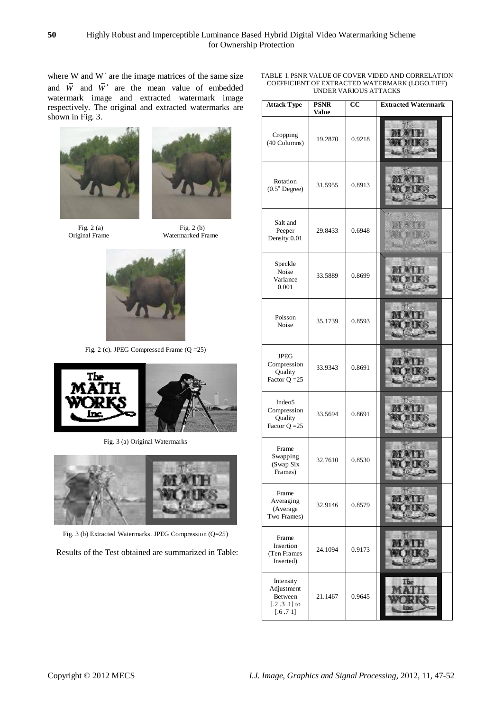where W and W΄ are the image matrices of the same size and  $\overline{W}$  and  $\overline{W}'$  are the mean value of embedded watermark image and extracted watermark image respectively. The original and extracted watermarks are shown in Fig. 3.



Fig. 2 (a) Fig. 2 (b)<br>Original Frame Watermarked Fig. 2 (b)



Watermarked Frame



Fig. 2 (c). JPEG Compressed Frame (Q =25)



Fig. 3 (a) Original Watermarks



Fig. 3 (b) Extracted Watermarks. JPEG Compression (Q=25)

Results of the Test obtained are summarized in Table:

| TABLE I. PSNR VALUE OF COVER VIDEO AND CORRELATION |
|----------------------------------------------------|
| COEFFICIENT OF EXTRACTED WATERMARK (LOGO.TIFF)     |
| UNDER VARIOUS ATTACKS                              |

| <b>Attack Type</b>                                              | <b>PSNR</b><br><b>Value</b> | cc     | <b>Extracted Watermark</b> |
|-----------------------------------------------------------------|-----------------------------|--------|----------------------------|
| Cropping<br>(40 Columns)                                        | 19.2870                     | 0.9218 |                            |
| Rotation<br>$(0.5^{\circ}$ Degree)                              | 31.5955                     | 0.8913 |                            |
| Salt and<br>Peeper<br>Density 0.01                              | 29.8433                     | 0.6948 |                            |
| Speckle<br>Noise<br>Variance<br>0.001                           | 33.5889                     | 0.8699 |                            |
| Poisson<br>Noise                                                | 35.1739                     | 0.8593 |                            |
| $_{\mathrm{JPEG}}$<br>Compression<br>Quality<br>Factor $Q = 25$ | 33.9343                     | 0.8691 |                            |
| Indeo <sub>5</sub><br>Compression<br>Quality<br>Factor $Q = 25$ | 33.5694                     | 0.8691 |                            |
| Frame<br>Swapping<br>(Swap Six<br>Frames)                       | 32.7610                     | 0.8530 |                            |
| Frame<br>Averaging<br>(Average<br>Two Frames)                   | 32.9146                     | 0.8579 |                            |
| Frame<br>Insertion<br>(Ten Frames<br>Inserted)                  | 24.1094                     | 0.9173 |                            |
| Intensity<br>Adjustment<br>Between<br>$[.2.3.1]$ to<br>[.6.71]  | 21.1467                     | 0.9645 | The                        |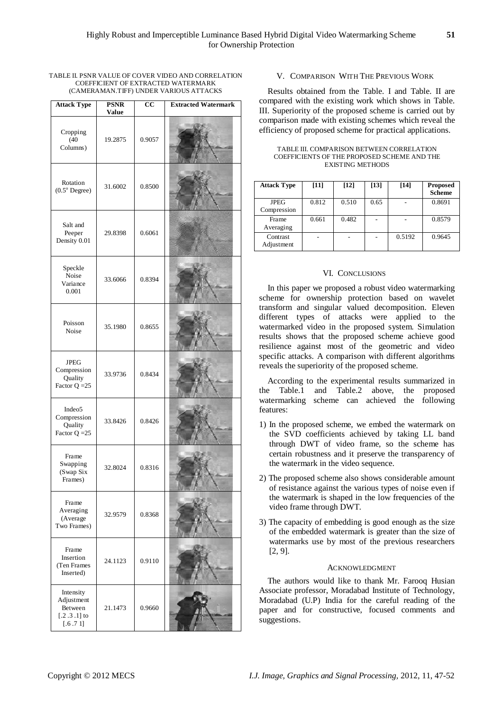| <b>Attack Type</b>                                             | <b>PSNR</b><br><b>Value</b> | cc     | <b>Extracted Watermark</b> |
|----------------------------------------------------------------|-----------------------------|--------|----------------------------|
| Cropping<br>(40)<br>Columns)                                   | 19.2875                     | 0.9057 |                            |
| Rotation<br>$(0.5^{\circ}$ Degree)                             | 31.6002                     | 0.8500 |                            |
| Salt and<br>Peeper<br>Density 0.01                             | 29.8398                     | 0.6061 |                            |
| Speckle<br>Noise<br>Variance<br>0.001                          | 33.6066                     | 0.8394 |                            |
| Poisson<br>Noise                                               | 35.1980                     | 0.8655 |                            |
| <b>JPEG</b><br>Compression<br>Quality<br>Factor $Q = 25$       | 33.9736                     | 0.8434 |                            |
| Indeo5<br>Compression<br>Quality<br>Factor $Q = 25$            | 33.8426                     | 0.8426 |                            |
| Frame<br>Swapping<br>(Swap Six<br>Frames)                      | 32.8024                     | 0.8316 |                            |
| Frame<br>Averaging<br>(Average<br>Two Frames)                  | 32.9579                     | 0.8368 |                            |
| Frame<br>Insertion<br>(Ten Frames<br>Inserted)                 | 24.1123                     | 0.9110 |                            |
| Intensity<br>Adjustment<br>Between<br>$[.2.3.1]$ to<br>[.6.71] | 21.1473                     | 0.9660 |                            |

TABLE II. PSNR VALUE OF COVER VIDEO AND CORRELATION COEFFICIENT OF EXTRACTED WATERMARK (CAMERAMAN.TIFF) UNDER VARIOUS ATTACKS

# V. COMPARISON WITH THE PREVIOUS WORK

Results obtained from the Table. I and Table. II are compared with the existing work which shows in Table. III. Superiority of the proposed scheme is carried out by comparison made with existing schemes which reveal the efficiency of proposed scheme for practical applications.

| <b>Attack Type</b>         | $[11]$ | $[12]$ | [13] | $[14]$ | <b>Proposed</b><br><b>Scheme</b> |
|----------------------------|--------|--------|------|--------|----------------------------------|
| <b>JPEG</b><br>Compression | 0.812  | 0.510  | 0.65 |        | 0.8691                           |
| Frame<br>Averaging         | 0.661  | 0.482  |      |        | 0.8579                           |
| Contrast<br>Adjustment     |        |        |      | 0.5192 | 0.9645                           |

TABLE III. COMPARISON BETWEEN CORRELATION COEFFICIENTS OF THE PROPOSED SCHEME AND THE EXISTING METHODS

## VI. CONCLUSIONS

In this paper we proposed a robust video watermarking scheme for ownership protection based on wavelet transform and singular valued decomposition. Eleven different types of attacks were applied to the watermarked video in the proposed system. Simulation results shows that the proposed scheme achieve good resilience against most of the geometric and video specific attacks. A comparison with different algorithms reveals the superiority of the proposed scheme.

According to the experimental results summarized in the Table.1 and Table.2 above, the proposed watermarking scheme can achieved the following features:

- 1) In the proposed scheme, we embed the watermark on the SVD coefficients achieved by taking LL band through DWT of video frame, so the scheme has certain robustness and it preserve the transparency of the watermark in the video sequence.
- 2) The proposed scheme also shows considerable amount of resistance against the various types of noise even if the watermark is shaped in the low frequencies of the video frame through DWT.
- 3) The capacity of embedding is good enough as the size of the embedded watermark is greater than the size of watermarks use by most of the previous researchers [2, 9].

#### ACKNOWLEDGMENT

The authors would like to thank Mr. Farooq Husian Associate professor, Moradabad Institute of Technology, Moradabad (U.P) India for the careful reading of the paper and for constructive, focused comments and suggestions.